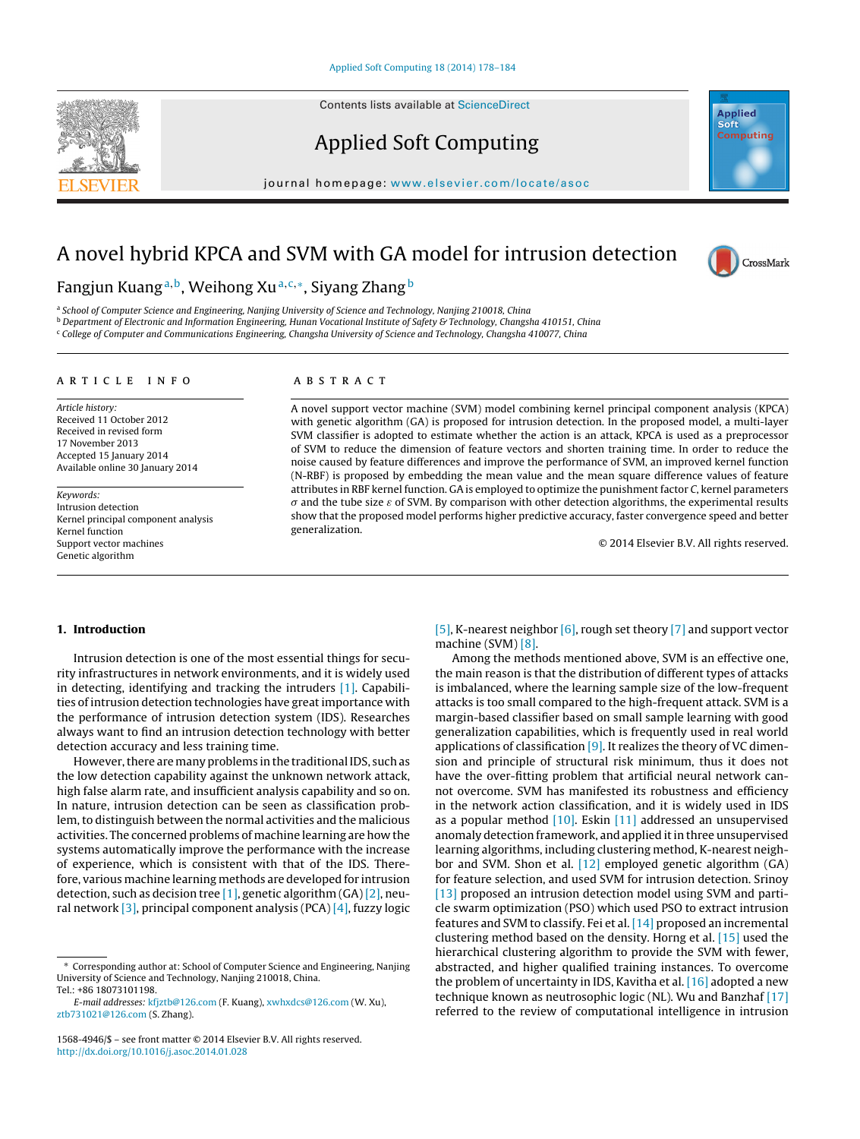Contents lists available at [ScienceDirect](http://www.sciencedirect.com/science/journal/15684946)



Applied Soft Computing

iournal homepage: <www.elsevier.com/locate/asoc>

# A novel hybrid KPCA and SVM with GA model for intrusion detection



a School of Computer Science and Engineering, Nanjing University of Science and Technology, Nanjing 210018, China

**b** Department of Electronic and Information Engineering, Hunan Vocational Institute of Safety & Technology, Changsha 410151, China

<sup>c</sup> College of Computer and Communications Engineering, Changsha University of Science and Technology, Changsha 410077, China

### a r t i c l e i n f o

Article history: Received 11 October 2012 Received in revised form 17 November 2013 Accepted 15 January 2014 Available online 30 January 2014

Keywords: Intrusion detection Kernel principal component analysis Kernel function Support vector machines Genetic algorithm

# A B S T R A C T

A novel support vector machine (SVM) model combining kernel principal component analysis (KPCA) with genetic algorithm (GA) is proposed for intrusion detection. In the proposed model, a multi-layer SVM classifier is adopted to estimate whether the action is an attack, KPCA is used as a preprocessor of SVM to reduce the dimension of feature vectors and shorten training time. In order to reduce the noise caused by feature differences and improve the performance of SVM, an improved kernel function (N-RBF) is proposed by embedding the mean value and the mean square difference values of feature attributes in RBF kernel function. GA is employed to optimize the punishment factor C, kernel parameters  $\sigma$  and the tube size  $\varepsilon$  of SVM. By comparison with other detection algorithms, the experimental results show that the proposed model performs higher predictive accuracy, faster convergence speed and better generalization.

© 2014 Elsevier B.V. All rights reserved.

## **1. Introduction**

Intrusion detection is one of the most essential things for security infrastructures in network environments, and it is widely used in detecting, identifying and tracking the intruders [\[1\].](#page-6-0) Capabilities of intrusion detection technologies have greatimportance with the performance of intrusion detection system (IDS). Researches always want to find an intrusion detection technology with better detection accuracy and less training time.

However, there are many problems in the traditional IDS, such as the low detection capability against the unknown network attack, high false alarm rate, and insufficient analysis capability and so on. In nature, intrusion detection can be seen as classification problem, to distinguish between the normal activities and the malicious activities. The concerned problems of machine learning are how the systems automatically improve the performance with the increase of experience, which is consistent with that of the IDS. Therefore, various machine learning methods are developed for intrusion detection, such as decision tree [\[1\],](#page-6-0) genetic algorithm  $(GA)[2]$ , neural network [\[3\],](#page-6-0) principal component analysis (PCA) [\[4\],](#page-6-0) fuzzy logic

[\[5\],](#page-6-0) K-nearest neighbor [\[6\],](#page-6-0) rough set theory [\[7\]](#page-6-0) and support vector machine (SVM) [\[8\].](#page-6-0)

Among the methods mentioned above, SVM is an effective one, the main reason is that the distribution of different types of attacks is imbalanced, where the learning sample size of the low-frequent attacks is too small compared to the high-frequent attack. SVM is a margin-based classifier based on small sample learning with good generalization capabilities, which is frequently used in real world applications of classification  $[9]$ . It realizes the theory of VC dimension and principle of structural risk minimum, thus it does not have the over-fitting problem that artificial neural network cannot overcome. SVM has manifested its robustness and efficiency in the network action classification, and it is widely used in IDS as a popular method  $[10]$ . Eskin  $[11]$  addressed an unsupervised anomaly detection framework, and applied it in three unsupervised learning algorithms, including clustering method, K-nearest neighbor and SVM. Shon et al.  $[12]$  employed genetic algorithm  $(GA)$ for feature selection, and used SVM for intrusion detection. Srinoy [\[13\]](#page-6-0) proposed an intrusion detection model using SVM and particle swarm optimization (PSO) which used PSO to extract intrusion features and SVM to classify. Fei et al. [\[14\]](#page-6-0) proposed an incremental clustering method based on the density. Horng et al. [\[15\]](#page-6-0) used the hierarchical clustering algorithm to provide the SVM with fewer, abstracted, and higher qualified training instances. To overcome the problem of uncertainty in IDS, Kavitha et al.  $[16]$  adopted a new technique known as neutrosophic logic (NL). Wu and Banzhaf [\[17\]](#page-6-0) referred to the review of computational intelligence in intrusion



CrossMark

<sup>∗</sup> Corresponding author at: School of Computer Science and Engineering, Nanjing University of Science and Technology, Nanjing 210018, China. Tel.: +86 18073101198.

E-mail addresses: [kfjztb@126.com](mailto:kfjztb@126.com) (F. Kuang), [xwhxdcs@126.com](mailto:xwhxdcs@126.com) (W. Xu), [ztb731021@126.com](mailto:ztb731021@126.com) (S. Zhang).

<sup>1568-4946/\$</sup> – see front matter © 2014 Elsevier B.V. All rights reserved. [http://dx.doi.org/10.1016/j.asoc.2014.01.028](dx.doi.org/10.1016/j.asoc.2014.01.028)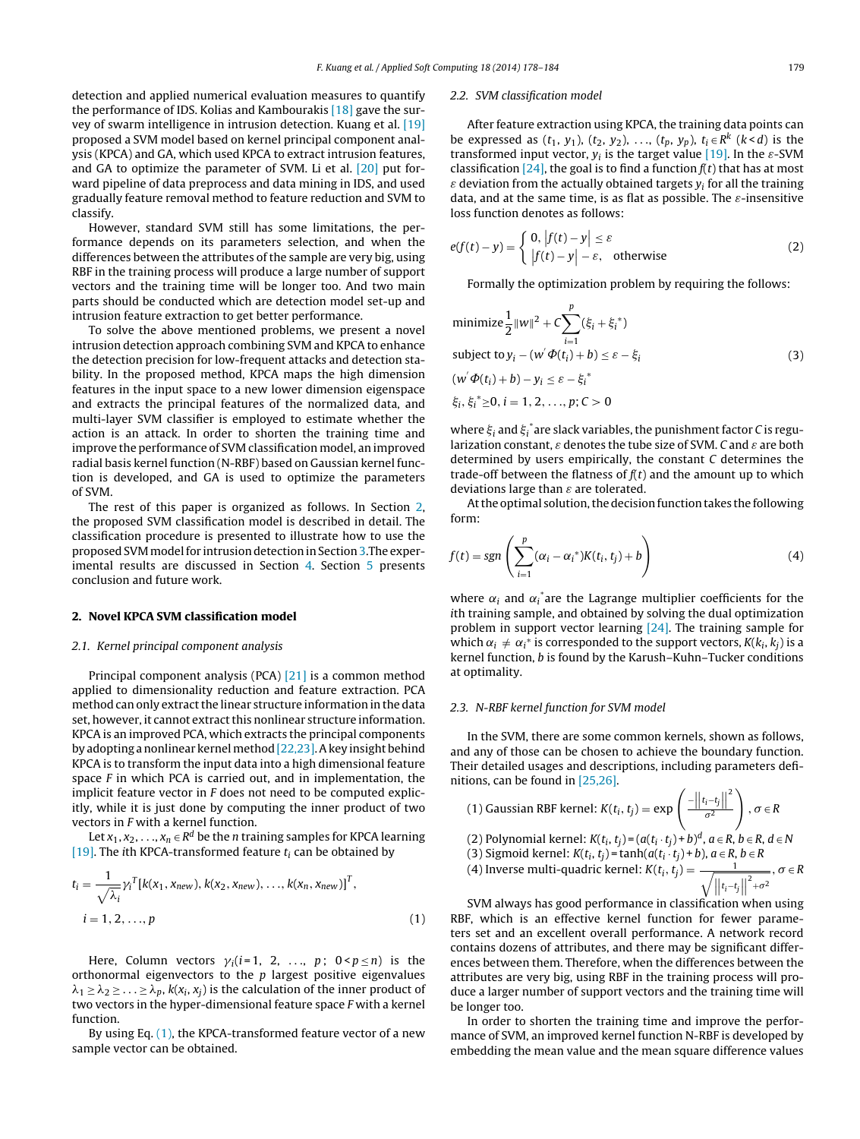detection and applied numerical evaluation measures to quantify the performance of IDS. Kolias and Kambourakis [\[18\]](#page-6-0) gave the survey of swarm intelligence in intrusion detection. Kuang et al. [\[19\]](#page-6-0) proposed a SVM model based on kernel principal component analysis (KPCA) and GA, which used KPCA to extract intrusion features, and GA to optimize the parameter of SVM. Li et al. [\[20\]](#page-6-0) put forward pipeline of data preprocess and data mining in IDS, and used gradually feature removal method to feature reduction and SVM to classify.

However, standard SVM still has some limitations, the performance depends on its parameters selection, and when the differences between the attributes of the sample are very big, using RBF in the training process will produce a large number of support vectors and the training time will be longer too. And two main parts should be conducted which are detection model set-up and intrusion feature extraction to get better performance.

To solve the above mentioned problems, we present a novel intrusion detection approach combining SVM and KPCA to enhance the detection precision for low-frequent attacks and detection stability. In the proposed method, KPCA maps the high dimension features in the input space to a new lower dimension eigenspace and extracts the principal features of the normalized data, and multi-layer SVM classifier is employed to estimate whether the action is an attack. In order to shorten the training time and improve the performance of SVM classification model, an improved radial basis kernel function (N-RBF) based on Gaussian kernel function is developed, and GA is used to optimize the parameters of SVM.

The rest of this paper is organized as follows. In Section 2, the proposed SVM classification model is described in detail. The classification procedure is presented to illustrate how to use the proposed SVM model for intrusion detection in Section [3.T](#page-2-0)he experimental results are discussed in Section [4.](#page-4-0) Section [5](#page-6-0) presents conclusion and future work.

# **2. Novel KPCA SVM classification model**

#### 2.1. Kernel principal component analysis

Principal component analysis (PCA) [\[21\]](#page-6-0) is a common method applied to dimensionality reduction and feature extraction. PCA method can only extract the linear structure information in the data set, however, it cannot extract this nonlinear structure information. KPCA is an improved PCA, which extracts the principal components by adopting a nonlinear kernel method [22,23]. A key insight behind KPCA is to transform the input data into a high dimensional feature space  $F$  in which PCA is carried out, and in implementation, the implicit feature vector in F does not need to be computed explicitly, while it is just done by computing the inner product of two vectors in F with a kernel function.

Let  $x_1, x_2, \ldots, x_n \in \mathbb{R}^d$  be the *n* training samples for KPCA learning [\[19\].](#page-6-0) The ith KPCA-transformed feature  $t_i$  can be obtained by

$$
t_{i} = \frac{1}{\sqrt{\lambda_{i}}} \gamma_{i}^{T} [k(x_{1}, x_{new}), k(x_{2}, x_{new}), ..., k(x_{n}, x_{new})]^{T},
$$
  
\n
$$
i = 1, 2, ..., p
$$
 (1)

Here, Column vectors  $\gamma_i(i = 1, 2, ..., p; 0 < p \le n)$  is the orthonormal eigenvectors to the  $p$  largest positive eigenvalues  $\lambda_1 \geq \lambda_2 \geq \ldots \geq \lambda_p$ ,  $k(x_i, x_j)$  is the calculation of the inner product of two vectors in the hyper-dimensional feature space F with a kernel function.

By using Eq.  $(1)$ , the KPCA-transformed feature vector of a new sample vector can be obtained.

#### 2.2. SVM classification model

After feature extraction using KPCA, the training data points can be expressed as  $(t_1, y_1)$ ,  $(t_2, y_2)$ , ...,  $(t_p, y_p)$ ,  $t_i \in R^k$   $(k < d)$  is the transformed input vector,  $y_i$  is the target value [\[19\].](#page-6-0) In the  $\varepsilon$ -SVM classification  $[24]$ , the goal is to find a function  $f(t)$  that has at most  $\varepsilon$  deviation from the actually obtained targets  $y_i$  for all the training data, and at the same time, is as flat as possible. The  $\varepsilon$ -insensitive loss function denotes as follows:

$$
e(f(t) - y) = \begin{cases} 0, |f(t) - y| \le \varepsilon \\ |f(t) - y| - \varepsilon, \quad \text{otherwise} \end{cases}
$$
 (2)

Formally the optimization problem by requiring the follows:

minimize 
$$
\frac{1}{2} ||w||^2 + C \sum_{i=1}^p (\xi_i + \xi_i^*)
$$
  
\nsubject to  $y_i - (w' \Phi(t_i) + b) \le \varepsilon - \xi_i$   
\n $(w' \Phi(t_i) + b) - y_i \le \varepsilon - \xi_i^*$   
\n $\xi_i, \xi_i^* \ge 0, i = 1, 2, ..., p; C > 0$  (3)

where  $\xi_i$  and  $\xi_i^*$  are slack variables, the punishment factor C is regularization constant,  $\varepsilon$  denotes the tube size of SVM. C and  $\varepsilon$  are both determined by users empirically, the constant C determines the trade-off between the flatness of  $f(t)$  and the amount up to which deviations large than  $\varepsilon$  are tolerated.

At the optimal solution, the decision function takes the following form:

$$
f(t) = sgn\left(\sum_{i=1}^{p} (\alpha_i - \alpha_i^*)K(t_i, t_j) + b\right)
$$
\n(4)

where  $\alpha_i$  and  $\alpha_i^*$  are the Lagrange multiplier coefficients for the ith training sample, and obtained by solving the dual optimization problem in support vector learning [\[24\].](#page-6-0) The training sample for which  $\alpha_i \neq \alpha_i^*$  is corresponded to the support vectors,  $K(k_i, k_j)$  is a kernel function, b is found by the Karush–Kuhn–Tucker conditions at optimality.

## 2.3. N-RBF kernel function for SVM model

In the SVM, there are some common kernels, shown as follows, and any of those can be chosen to achieve the boundary function. Their detailed usages and descriptions, including parameters definitions, can be found in [\[25,26\].](#page-6-0)

(1) Gaussian RBF Kernel: 
$$
K(t_i, t_j) = \exp\left(\frac{-\left||t_i - t_j\right||^2}{\sigma^2}\right), \sigma \in R
$$

- (2) Polynomial kernel:  $K(t_i, t_i) = (a(t_i \cdot t_i) + b)^d, a \in R, b \in R, d \in N$
- (3) Sigmoid kernel:  $K(t_i, t_j) = \tanh(a(t_i \cdot t_j) + b), a \in R, b \in R$ (4) Inverse multi-quadric kernel:  $K(t_i, t_j) = \frac{1}{\sqrt{\left\|t_i - t_j\right\|^2 + \sigma^2}}$  $, \sigma \in R$

SVM always has good performance in classification when using RBF, which is an effective kernel function for fewer parameters set and an excellent overall performance. A network record contains dozens of attributes, and there may be significant differences between them. Therefore, when the differences between the attributes are very big, using RBF in the training process will produce a larger number of support vectors and the training time will be longer too.

In order to shorten the training time and improve the performance of SVM, an improved kernel function N-RBF is developed by embedding the mean value and the mean square difference values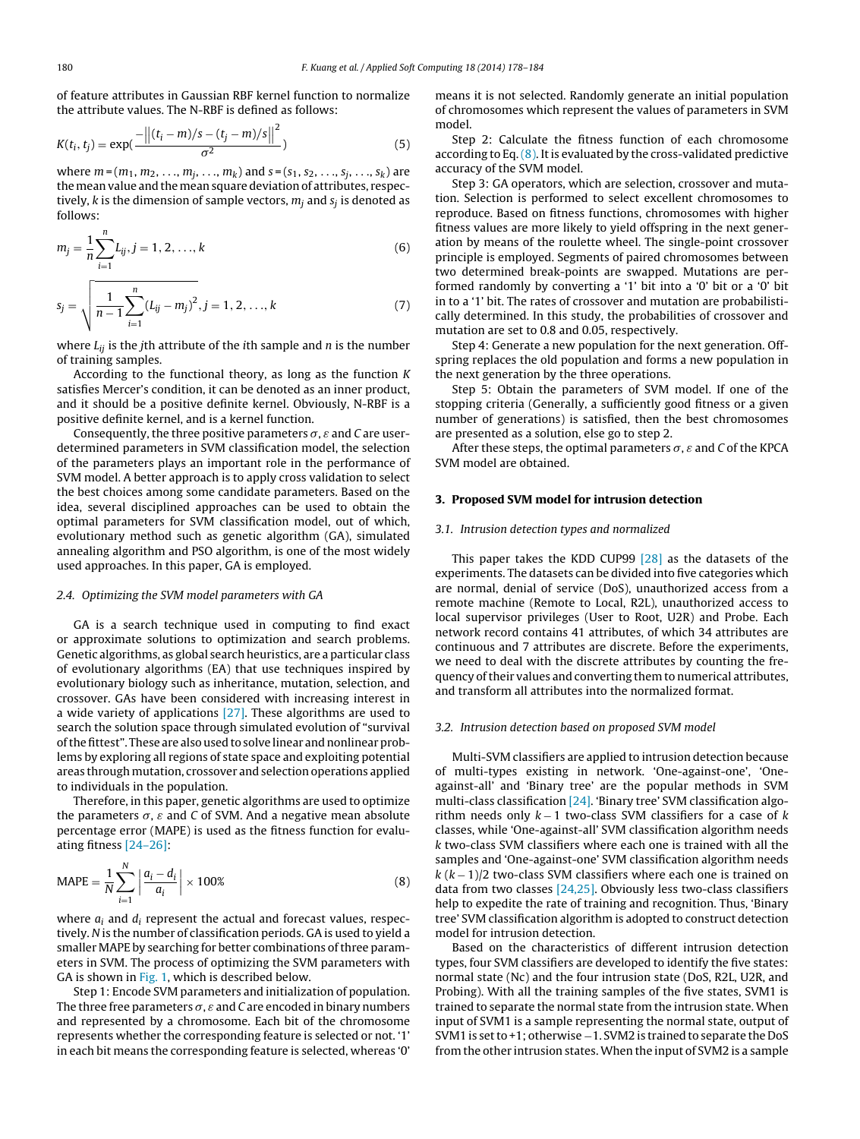<span id="page-2-0"></span>of feature attributes in Gaussian RBF kernel function to normalize the attribute values. The N-RBF is defined as follows:

$$
K(t_i, t_j) = \exp(\frac{-\left\|(t_i - m)/s - (t_j - m)/s\right\|^2}{\sigma^2})
$$
\n(5)

where  $m = (m_1, m_2, \ldots, m_j, \ldots, m_k)$  and  $s = (s_1, s_2, \ldots, s_j, \ldots, s_k)$  are the mean value and the mean square deviation of attributes, respectively, k is the dimension of sample vectors,  $m_i$  and  $s_i$  is denoted as follows:

$$
m_j = \frac{1}{n} \sum_{i=1}^{n} L_{ij}, j = 1, 2, ..., k
$$
 (6)

$$
s_j = \sqrt{\frac{1}{n-1} \sum_{i=1}^{n} (L_{ij} - m_j)^2}, j = 1, 2, ..., k
$$
 (7)

where  $L_{ij}$  is the jth attribute of the ith sample and n is the number of training samples.

According to the functional theory, as long as the function  $K$ satisfies Mercer's condition, it can be denoted as an inner product, and it should be a positive definite kernel. Obviously, N-RBF is a positive definite kernel, and is a kernel function.

Consequently, the three positive parameters  $\sigma$ ,  $\varepsilon$  and C are userdetermined parameters in SVM classification model, the selection of the parameters plays an important role in the performance of SVM model. A better approach is to apply cross validation to select the best choices among some candidate parameters. Based on the idea, several disciplined approaches can be used to obtain the optimal parameters for SVM classification model, out of which, evolutionary method such as genetic algorithm (GA), simulated annealing algorithm and PSO algorithm, is one of the most widely used approaches. In this paper, GA is employed.

#### 2.4. Optimizing the SVM model parameters with GA

GA is a search technique used in computing to find exact or approximate solutions to optimization and search problems. Genetic algorithms, as global search heuristics, are a particular class of evolutionary algorithms (EA) that use techniques inspired by evolutionary biology such as inheritance, mutation, selection, and crossover. GAs have been considered with increasing interest in a wide variety of applications [\[27\].](#page-6-0) These algorithms are used to search the solution space through simulated evolution of "survival of the fittest". These are also used to solve linear and nonlinear problems by exploring all regions of state space and exploiting potential areas through mutation, crossover and selection operations applied to individuals in the population.

Therefore, in this paper, genetic algorithms are used to optimize the parameters  $\sigma$ ,  $\varepsilon$  and C of SVM. And a negative mean absolute percentage error (MAPE) is used as the fitness function for evaluating fitness [\[24–26\]:](#page-6-0)

$$
MAPE = \frac{1}{N} \sum_{i=1}^{N} \left| \frac{a_i - d_i}{a_i} \right| \times 100\%
$$
\n(8)

where  $a_i$  and  $d_i$  represent the actual and forecast values, respectively. N is the number of classification periods. GA is used to yield a smaller MAPE by searching for better combinations of three parameters in SVM. The process of optimizing the SVM parameters with GA is shown in [Fig.](#page-3-0) 1, which is described below.

Step 1: Encode SVM parameters and initialization of population. The three free parameters  $\sigma$ ,  $\varepsilon$  and C are encoded in binary numbers and represented by a chromosome. Each bit of the chromosome represents whether the corresponding feature is selected or not. '1' in each bit means the corresponding feature is selected, whereas '0' means it is not selected. Randomly generate an initial population of chromosomes which represent the values of parameters in SVM model.

Step 2: Calculate the fitness function of each chromosome according to Eq.  $(8)$ . It is evaluated by the cross-validated predictive accuracy of the SVM model.

Step 3: GA operators, which are selection, crossover and mutation. Selection is performed to select excellent chromosomes to reproduce. Based on fitness functions, chromosomes with higher fitness values are more likely to yield offspring in the next generation by means of the roulette wheel. The single-point crossover principle is employed. Segments of paired chromosomes between two determined break-points are swapped. Mutations are performed randomly by converting a '1' bit into a '0' bit or a '0' bit in to a '1' bit. The rates of crossover and mutation are probabilistically determined. In this study, the probabilities of crossover and mutation are set to 0.8 and 0.05, respectively.

Step 4: Generate a new population for the next generation. Offspring replaces the old population and forms a new population in the next generation by the three operations.

Step 5: Obtain the parameters of SVM model. If one of the stopping criteria (Generally, a sufficiently good fitness or a given number of generations) is satisfied, then the best chromosomes are presented as a solution, else go to step 2.

After these steps, the optimal parameters  $\sigma$ ,  $\varepsilon$  and C of the KPCA SVM model are obtained.

### **3. Proposed SVM model for intrusion detection**

### 3.1. Intrusion detection types and normalized

This paper takes the KDD CUP99 [\[28\]](#page-6-0) as the datasets of the experiments. The datasets can be divided into five categories which are normal, denial of service (DoS), unauthorized access from a remote machine (Remote to Local, R2L), unauthorized access to local supervisor privileges (User to Root, U2R) and Probe. Each network record contains 41 attributes, of which 34 attributes are continuous and 7 attributes are discrete. Before the experiments, we need to deal with the discrete attributes by counting the frequency of their values and converting them to numerical attributes, and transform all attributes into the normalized format.

#### 3.2. Intrusion detection based on proposed SVM model

Multi-SVM classifiers are applied to intrusion detection because of multi-types existing in network. 'One-against-one', 'Oneagainst-all' and 'Binary tree' are the popular methods in SVM multi-class classification [\[24\].](#page-6-0) 'Binary tree' SVM classification algorithm needs only  $k - 1$  two-class SVM classifiers for a case of  $k$ classes, while 'One-against-all' SVM classification algorithm needs k two-class SVM classifiers where each one is trained with all the samples and 'One-against-one' SVM classification algorithm needs  $k (k-1)/2$  two-class SVM classifiers where each one is trained on data from two classes [\[24,25\].](#page-6-0) Obviously less two-class classifiers help to expedite the rate of training and recognition. Thus, 'Binary tree' SVM classification algorithm is adopted to construct detection model for intrusion detection.

Based on the characteristics of different intrusion detection types, four SVM classifiers are developed to identify the five states: normal state (Nc) and the four intrusion state (DoS, R2L, U2R, and Probing). With all the training samples of the five states, SVM1 is trained to separate the normal state from the intrusion state. When input of SVM1 is a sample representing the normal state, output of SVM1 is set to +1; otherwise -1. SVM2 is trained to separate the DoS from the other intrusion states.When the input of SVM2 is a sample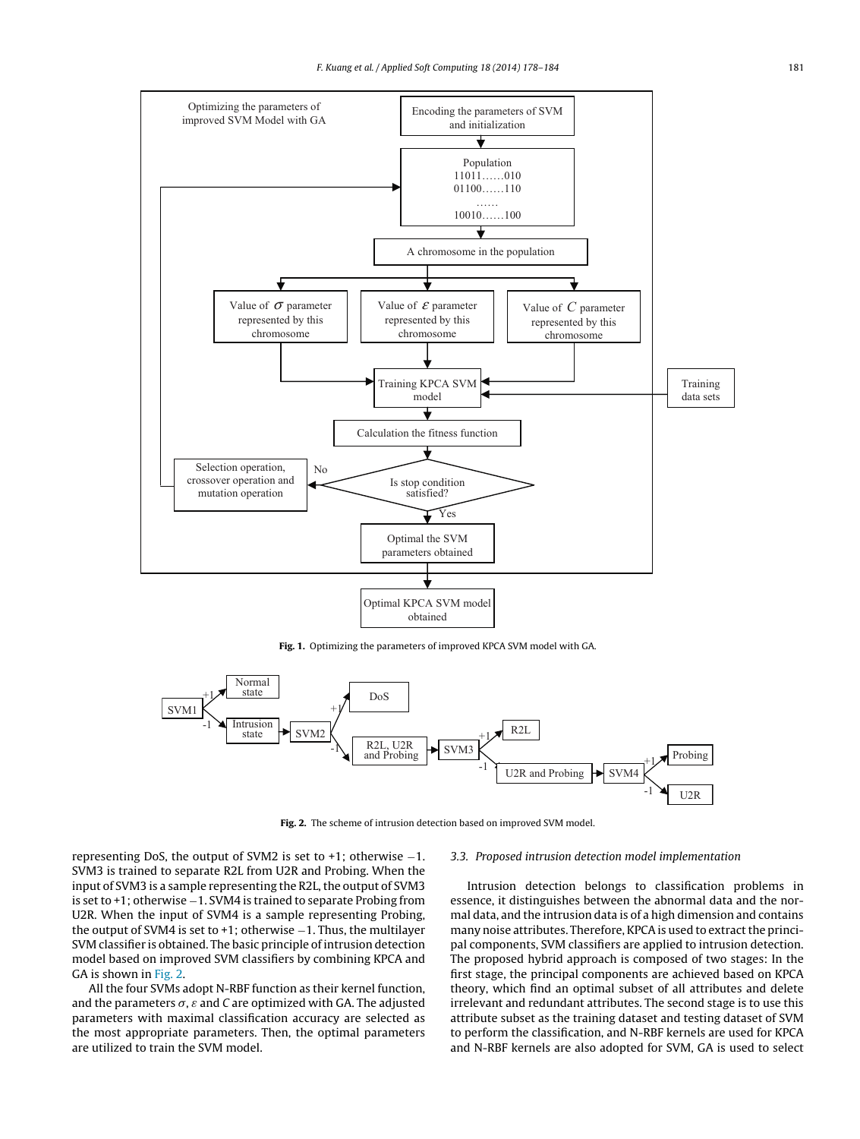F. Kuang et al. / Applied Soft Computing 18 (2014) 178–184 181

<span id="page-3-0"></span>

**Fig. 1.** Optimizing the parameters of improved KPCA SVM model with GA.



**Fig. 2.** The scheme of intrusion detection based on improved SVM model.

representing DoS, the output of SVM2 is set to +1; otherwise −1. SVM3 is trained to separate R2L from U2R and Probing. When the input of SVM3 is a sample representing the R2L, the output of SVM3 is setto +1; otherwise −1. SVM4 is trained to separate Probing from U2R. When the input of SVM4 is a sample representing Probing, the output of SVM4 is set to +1; otherwise  $-1$ . Thus, the multilayer SVM classifier is obtained. The basic principle of intrusion detection model based on improved SVM classifiers by combining KPCA and GA is shown in Fig. 2.

All the four SVMs adopt N-RBF function as their kernel function, and the parameters  $\sigma$ ,  $\varepsilon$  and C are optimized with GA. The adjusted parameters with maximal classification accuracy are selected as the most appropriate parameters. Then, the optimal parameters are utilized to train the SVM model.

## 3.3. Proposed intrusion detection model implementation

Intrusion detection belongs to classification problems in essence, it distinguishes between the abnormal data and the normal data, and the intrusion data is of a high dimension and contains many noise attributes. Therefore, KPCA is used to extract the principal components, SVM classifiers are applied to intrusion detection. The proposed hybrid approach is composed of two stages: In the first stage, the principal components are achieved based on KPCA theory, which find an optimal subset of all attributes and delete irrelevant and redundant attributes. The second stage is to use this attribute subset as the training dataset and testing dataset of SVM to perform the classification, and N-RBF kernels are used for KPCA and N-RBF kernels are also adopted for SVM, GA is used to select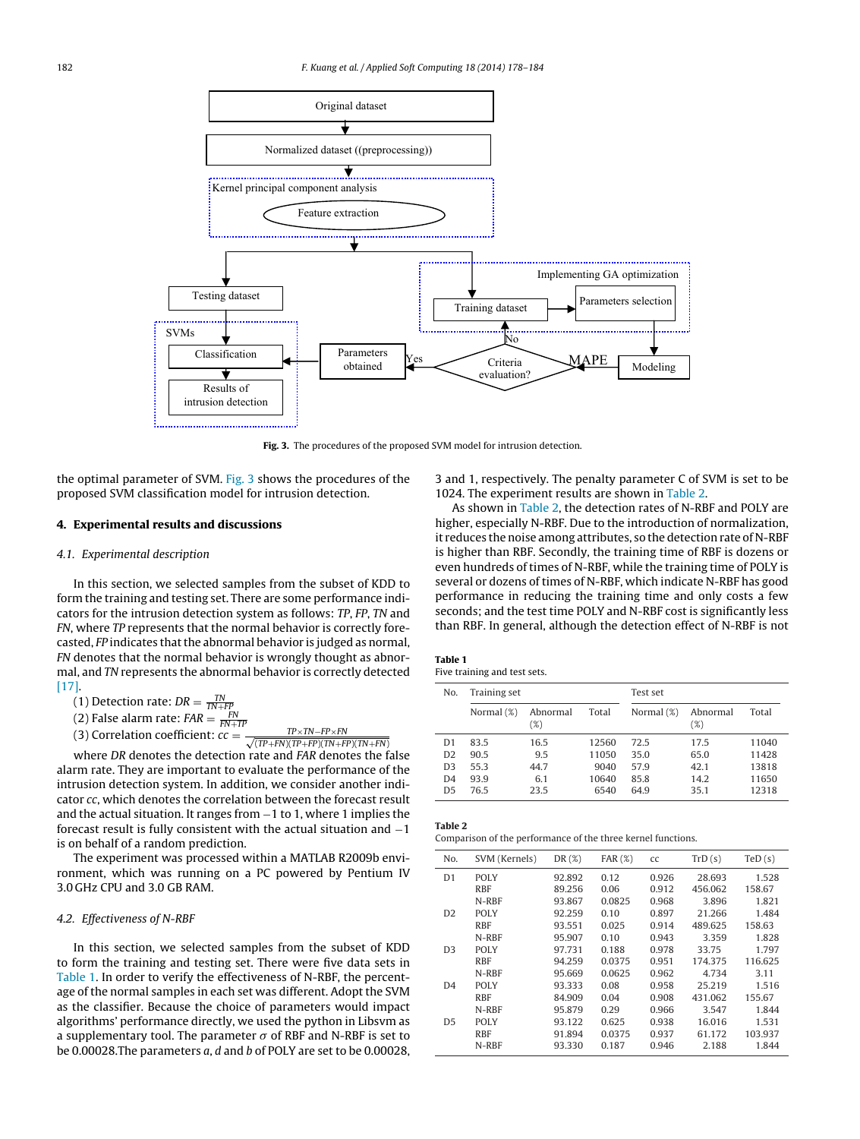<span id="page-4-0"></span>

**Fig. 3.** The procedures of the proposed SVM model for intrusion detection.

the optimal parameter of SVM. Fig. 3 shows the procedures of the proposed SVM classification model for intrusion detection.

## **4. Experimental results and discussions**

### 4.1. Experimental description

In this section, we selected samples from the subset of KDD to form the training and testing set. There are some performance indicators for the intrusion detection system as follows: TP, FP, TN and FN, where TP represents that the normal behavior is correctly forecasted, FP indicates that the abnormal behavior is judged as normal, FN denotes that the normal behavior is wrongly thought as abnormal, and TN represents the abnormal behavior is correctly detected [\[17\].](#page-6-0)

(1) Detection rate:  $DR = \frac{TN}{TN + FP}$ 

(2) False alarm rate:  $FAR = \frac{FN}{FN + TP}$ 

(3) Correlation coefficient:  $cc = \frac{TP \times TN - FP \times FN}{\sqrt{(TP + FN)(TP + FP)(TN + FP)(TN + FN)}}$ 

where DR denotes the detection rate and FAR denotes the false alarm rate. They are important to evaluate the performance of the intrusion detection system. In addition, we consider another indicator cc, which denotes the correlation between the forecast result and the actual situation. It ranges from −1 to 1, where 1 implies the forecast result is fully consistent with the actual situation and −1 is on behalf of a random prediction.

The experiment was processed within a MATLAB R2009b environment, which was running on a PC powered by Pentium IV 3.0 GHz CPU and 3.0 GB RAM.

### 4.2. Effectiveness of N-RBF

In this section, we selected samples from the subset of KDD to form the training and testing set. There were five data sets in Table 1. In order to verify the effectiveness of N-RBF, the percentage of the normal samples in each set was different. Adopt the SVM as the classifier. Because the choice of parameters would impact algorithms' performance directly, we used the python in Libsvm as a supplementary tool. The parameter  $\sigma$  of RBF and N-RBF is set to be 0.00028.The parameters a, d and b of POLY are set to be 0.00028,

3 and 1, respectively. The penalty parameter C of SVM is set to be 1024. The experiment results are shown in Table 2.

As shown in Table 2, the detection rates of N-RBF and POLY are higher, especially N-RBF. Due to the introduction of normalization, it reduces the noise among attributes, so the detection rate of N-RBF is higher than RBF. Secondly, the training time of RBF is dozens or even hundreds of times of N-RBF, while the training time of POLY is several or dozens of times of N-RBF, which indicate N-RBF has good performance in reducing the training time and only costs a few seconds; and the test time POLY and N-RBF cost is significantly less than RBF. In general, although the detection effect of N-RBF is not

| Table 1 |                             |  |  |
|---------|-----------------------------|--|--|
|         | Five training and test sets |  |  |

| No.            | Training set |                          |       | Test set      |                    |       |  |  |
|----------------|--------------|--------------------------|-------|---------------|--------------------|-------|--|--|
|                | Normal (%)   | Abnormal<br>Total<br>(%) |       | Normal $(\%)$ | Abnormal<br>$(\%)$ | Total |  |  |
| D <sub>1</sub> | 83.5         | 16.5                     | 12560 | 72.5          | 17.5               | 11040 |  |  |
| D2             | 90.5         | 9.5                      | 11050 | 35.0          | 65.0               | 11428 |  |  |
| D <sub>3</sub> | 55.3         | 44.7                     | 9040  | 57.9          | 42.1               | 13818 |  |  |
| D <sub>4</sub> | 93.9         | 6.1                      | 10640 | 85.8          | 14.2               | 11650 |  |  |
| D <sub>5</sub> | 76.5         | 23.5                     | 6540  | 64.9          | 35.1               | 12318 |  |  |
|                |              |                          |       |               |                    |       |  |  |

|--|--|

Comparison of the performance of the three kernel functions.

| No.            | SVM (Kernels) | DR(%)  | FAR(%) | CC    | TrD(s)  | TeD(s)  |
|----------------|---------------|--------|--------|-------|---------|---------|
| D <sub>1</sub> | POLY          | 92.892 | 0.12   | 0.926 | 28.693  | 1.528   |
|                | <b>RBF</b>    | 89.256 | 0.06   | 0.912 | 456.062 | 158.67  |
|                | N-RBF         | 93.867 | 0.0825 | 0.968 | 3.896   | 1.821   |
| D2             | POLY          | 92.259 | 0.10   | 0.897 | 21.266  | 1.484   |
|                | <b>RBF</b>    | 93.551 | 0.025  | 0.914 | 489.625 | 158.63  |
|                | N-RBF         | 95.907 | 0.10   | 0.943 | 3.359   | 1.828   |
| D <sub>3</sub> | POLY          | 97.731 | 0.188  | 0.978 | 33.75   | 1.797   |
|                | <b>RBF</b>    | 94.259 | 0.0375 | 0.951 | 174.375 | 116.625 |
|                | N-RBF         | 95.669 | 0.0625 | 0.962 | 4.734   | 3.11    |
| D <sub>4</sub> | POLY          | 93.333 | 0.08   | 0.958 | 25.219  | 1.516   |
|                | <b>RBF</b>    | 84.909 | 0.04   | 0.908 | 431.062 | 155.67  |
|                | N-RBF         | 95.879 | 0.29   | 0.966 | 3.547   | 1.844   |
| D <sub>5</sub> | POLY          | 93.122 | 0.625  | 0.938 | 16.016  | 1.531   |
|                | <b>RBF</b>    | 91.894 | 0.0375 | 0.937 | 61.172  | 103.937 |
|                | N-RBF         | 93.330 | 0.187  | 0.946 | 2.188   | 1.844   |
|                |               |        |        |       |         |         |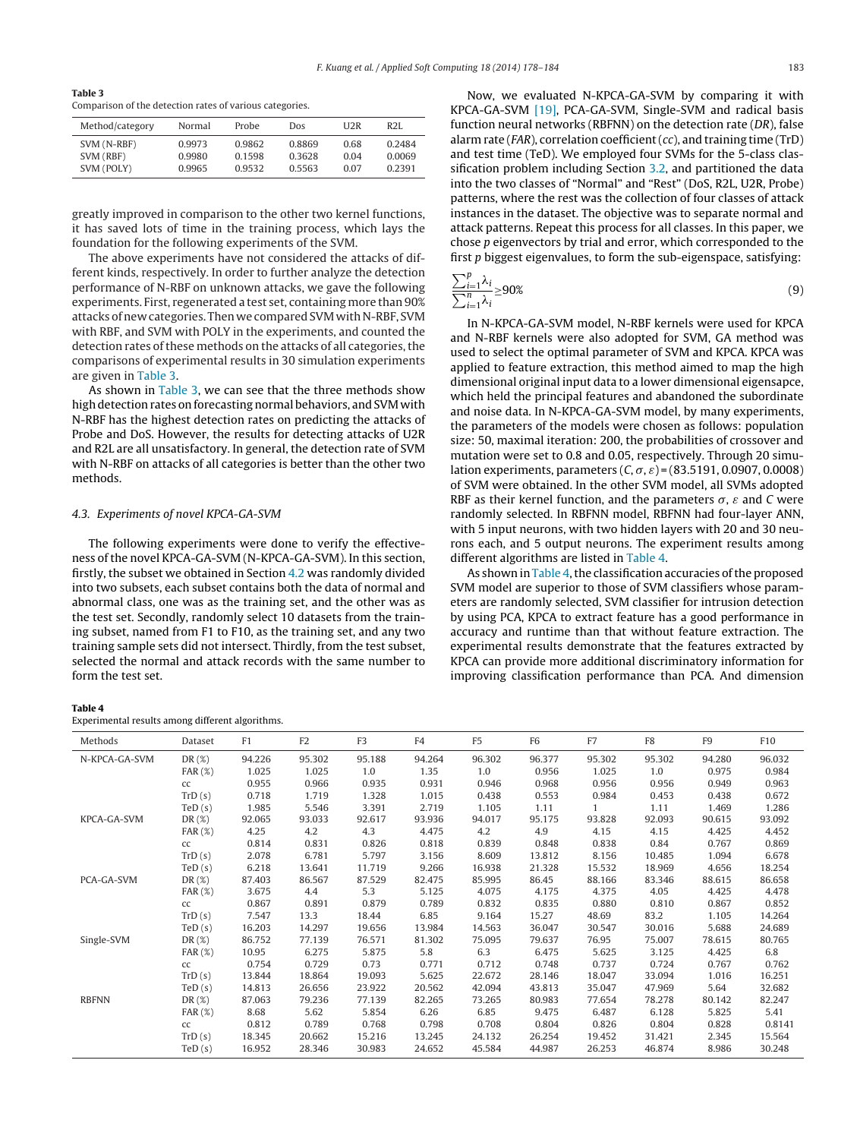<span id="page-5-0"></span>

| Table 3 |                                                          |  |
|---------|----------------------------------------------------------|--|
|         | Comparison of the detection rates of various categories. |  |

| Method/category | Normal | Probe  | Dos    | U2R  | R2I.   |
|-----------------|--------|--------|--------|------|--------|
| SVM (N-RBF)     | 0.9973 | 0.9862 | 0.8869 | 0.68 | 0.2484 |
| SVM (RBF)       | 0.9980 | 0.1598 | 0.3628 | 0.04 | 0.0069 |
| SVM (POLY)      | 0.9965 | 0.9532 | 0.5563 | 0.07 | 0.2391 |

greatly improved in comparison to the other two kernel functions, it has saved lots of time in the training process, which lays the foundation for the following experiments of the SVM.

The above experiments have not considered the attacks of different kinds, respectively. In order to further analyze the detection performance of N-RBF on unknown attacks, we gave the following experiments. First, regenerated a test set, containing more than 90% attacks ofnew categories. Then we comparedSVMwith N-RBF, SVM with RBF, and SVM with POLY in the experiments, and counted the detection rates of these methods on the attacks of all categories, the comparisons of experimental results in 30 simulation experiments are given in Table 3.

As shown in Table 3, we can see that the three methods show high detection rates on forecasting normal behaviors, and SVMwith N-RBF has the highest detection rates on predicting the attacks of Probe and DoS. However, the results for detecting attacks of U2R and R2L are all unsatisfactory. In general, the detection rate of SVM with N-RBF on attacks of all categories is better than the other two methods.

### 4.3. Experiments of novel KPCA-GA-SVM

The following experiments were done to verify the effectiveness of the novel KPCA-GA-SVM (N-KPCA-GA-SVM). In this section, firstly, the subset we obtained in Section [4.2](#page-4-0) was randomly divided into two subsets, each subset contains both the data of normal and abnormal class, one was as the training set, and the other was as the test set. Secondly, randomly select 10 datasets from the training subset, named from F1 to F10, as the training set, and any two training sample sets did not intersect. Thirdly, from the test subset, selected the normal and attack records with the same number to form the test set.

#### **Table 4**

Experimental results among different algorithms.

Now, we evaluated N-KPCA-GA-SVM by comparing it with KPCA-GA-SVM [\[19\],](#page-6-0) PCA-GA-SVM, Single-SVM and radical basis function neural networks (RBFNN) on the detection rate (DR), false alarm rate (FAR), correlation coefficient (cc), and training time (TrD) and test time (TeD). We employed four SVMs for the 5-class classification problem including Section [3.2,](#page-2-0) and partitioned the data into the two classes of "Normal" and "Rest" (DoS, R2L, U2R, Probe) patterns, where the rest was the collection of four classes of attack instances in the dataset. The objective was to separate normal and attack patterns. Repeat this process for all classes. In this paper, we chose p eigenvectors by trial and error, which corresponded to the first p biggest eigenvalues, to form the sub-eigenspace, satisfying:

$$
\frac{\sum_{i=1}^{p} \lambda_i}{\sum_{i=1}^{n} \lambda_i} \ge 90\%
$$
\n(9)

In N-KPCA-GA-SVM model, N-RBF kernels were used for KPCA and N-RBF kernels were also adopted for SVM, GA method was used to select the optimal parameter of SVM and KPCA. KPCA was applied to feature extraction, this method aimed to map the high dimensional original input data to a lower dimensional eigensapce, which held the principal features and abandoned the subordinate and noise data. In N-KPCA-GA-SVM model, by many experiments, the parameters of the models were chosen as follows: population size: 50, maximal iteration: 200, the probabilities of crossover and mutation were set to 0.8 and 0.05, respectively. Through 20 simulation experiments, parameters  $(C, \sigma, \varepsilon)$  = (83.5191, 0.0907, 0.0008) of SVM were obtained. In the other SVM model, all SVMs adopted RBF as their kernel function, and the parameters  $\sigma$ ,  $\varepsilon$  and C were randomly selected. In RBFNN model, RBFNN had four-layer ANN, with 5 input neurons, with two hidden layers with 20 and 30 neurons each, and 5 output neurons. The experiment results among different algorithms are listed in Table 4.

As shown in Table 4, the classification accuracies of the proposed SVM model are superior to those of SVM classifiers whose parameters are randomly selected, SVM classifier for intrusion detection by using PCA, KPCA to extract feature has a good performance in accuracy and runtime than that without feature extraction. The experimental results demonstrate that the features extracted by KPCA can provide more additional discriminatory information for improving classification performance than PCA. And dimension

| Methods       | Dataset         | F1     | F <sub>2</sub> | F <sub>3</sub> | F4     | F <sub>5</sub> | F <sub>6</sub> | F7     | F8     | F9     | F10    |
|---------------|-----------------|--------|----------------|----------------|--------|----------------|----------------|--------|--------|--------|--------|
| N-KPCA-GA-SVM | DR(%)           | 94.226 | 95.302         | 95.188         | 94.264 | 96.302         | 96.377         | 95.302 | 95.302 | 94.280 | 96.032 |
|               | FAR(%)          | 1.025  | 1.025          | 1.0            | 1.35   | 1.0            | 0.956          | 1.025  | 1.0    | 0.975  | 0.984  |
|               | cc              | 0.955  | 0.966          | 0.935          | 0.931  | 0.946          | 0.968          | 0.956  | 0.956  | 0.949  | 0.963  |
|               | TrD(s)          | 0.718  | 1.719          | 1.328          | 1.015  | 0.438          | 0.553          | 0.984  | 0.453  | 0.438  | 0.672  |
|               | TeD(s)          | 1.985  | 5.546          | 3.391          | 2.719  | 1.105          | 1.11           |        | 1.11   | 1.469  | 1.286  |
| KPCA-GA-SVM   | DR $(\%)$       | 92.065 | 93.033         | 92.617         | 93.936 | 94.017         | 95.175         | 93.828 | 92.093 | 90.615 | 93.092 |
|               | FAR(%)          | 4.25   | 4.2            | 4.3            | 4.475  | 4.2            | 4.9            | 4.15   | 4.15   | 4.425  | 4.452  |
|               | cc              | 0.814  | 0.831          | 0.826          | 0.818  | 0.839          | 0.848          | 0.838  | 0.84   | 0.767  | 0.869  |
|               | TrD(s)          | 2.078  | 6.781          | 5.797          | 3.156  | 8.609          | 13.812         | 8.156  | 10.485 | 1.094  | 6.678  |
|               | $\text{TeD}(s)$ | 6.218  | 13.641         | 11.719         | 9.266  | 16.938         | 21.328         | 15.532 | 18.969 | 4.656  | 18.254 |
| PCA-GA-SVM    | DR(%)           | 87.403 | 86.567         | 87.529         | 82.475 | 85.995         | 86.45          | 88.166 | 83.346 | 88.615 | 86.658 |
|               | FAR(%)          | 3.675  | 4.4            | 5.3            | 5.125  | 4.075          | 4.175          | 4.375  | 4.05   | 4.425  | 4.478  |
|               | cc              | 0.867  | 0.891          | 0.879          | 0.789  | 0.832          | 0.835          | 0.880  | 0.810  | 0.867  | 0.852  |
|               | TrD(s)          | 7.547  | 13.3           | 18.44          | 6.85   | 9.164          | 15.27          | 48.69  | 83.2   | 1.105  | 14.264 |
|               | TeD(s)          | 16.203 | 14.297         | 19.656         | 13.984 | 14.563         | 36.047         | 30.547 | 30.016 | 5.688  | 24.689 |
| Single-SVM    | DR(%)           | 86.752 | 77.139         | 76.571         | 81.302 | 75.095         | 79.637         | 76.95  | 75.007 | 78.615 | 80.765 |
|               | FAR(%)          | 10.95  | 6.275          | 5.875          | 5.8    | 6.3            | 6.475          | 5.625  | 3.125  | 4.425  | 6.8    |
|               | cc              | 0.754  | 0.729          | 0.73           | 0.771  | 0.712          | 0.748          | 0.737  | 0.724  | 0.767  | 0.762  |
|               | TrD(s)          | 13.844 | 18.864         | 19.093         | 5.625  | 22.672         | 28.146         | 18.047 | 33.094 | 1.016  | 16.251 |
|               | TeD(s)          | 14.813 | 26.656         | 23.922         | 20.562 | 42.094         | 43.813         | 35.047 | 47.969 | 5.64   | 32.682 |
| <b>RBFNN</b>  | DR(%)           | 87.063 | 79.236         | 77.139         | 82.265 | 73.265         | 80.983         | 77.654 | 78,278 | 80.142 | 82.247 |
|               | FAR(%)          | 8.68   | 5.62           | 5.854          | 6.26   | 6.85           | 9.475          | 6.487  | 6.128  | 5.825  | 5.41   |
|               | cc              | 0.812  | 0.789          | 0.768          | 0.798  | 0.708          | 0.804          | 0.826  | 0.804  | 0.828  | 0.8141 |
|               | TrD(s)          | 18.345 | 20.662         | 15.216         | 13.245 | 24.132         | 26.254         | 19.452 | 31.421 | 2.345  | 15.564 |
|               | TeD(s)          | 16.952 | 28.346         | 30.983         | 24.652 | 45.584         | 44.987         | 26.253 | 46.874 | 8.986  | 30.248 |
|               |                 |        |                |                |        |                |                |        |        |        |        |